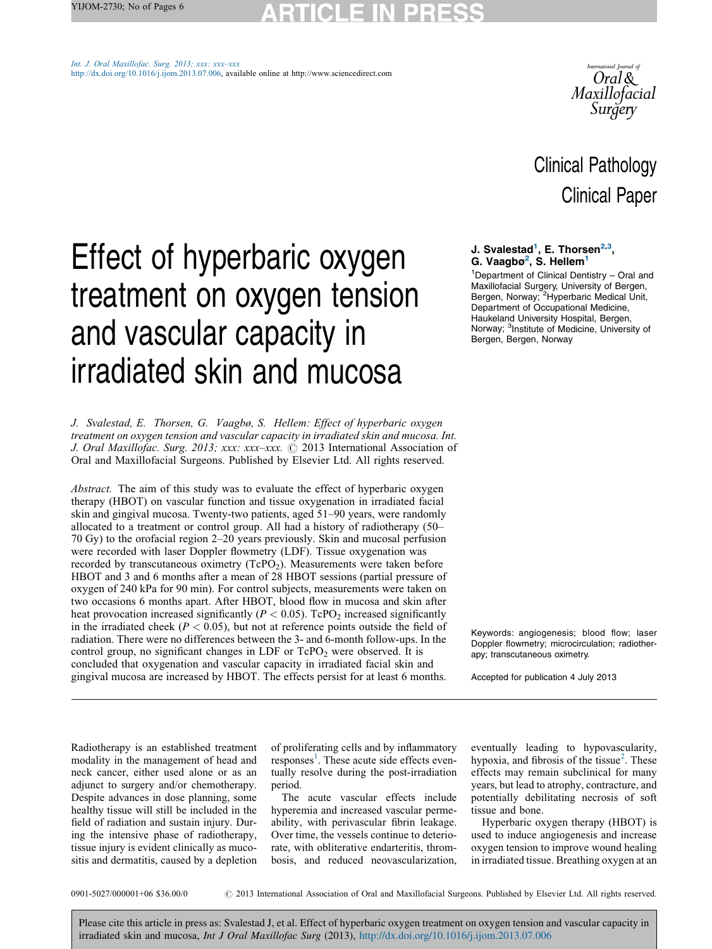# ICI E IN

Int. J. Oral [Maxillofac.](http://dx.doi.org/10.1016/j.ijom.2013.07.006) Surg. 2013; xxx: xxx–xxx [http://dx.doi.org/10.1016/j.ijom.2013.07.006,](http://dx.doi.org/10.1016/j.ijom.2013.07.006) available online at http://www.sciencedirect.com



# Clinical Pathology Clinical Paper

# Effect of hyperbaric oxygen treatment on oxygen tension and vascular capacity in irradiated skin and mucosa

J. Svalestad, E. Thorsen, G. Vaagbø, S. Hellem: Effect of hyperbaric oxygen treatment on oxygen tension and vascular capacity in irradiated skin and mucosa. Int. J. Oral Maxillofac. Surg. 2013; xxx: xxx-xxx. © 2013 International Association of Oral and Maxillofacial Surgeons. Published by Elsevier Ltd. All rights reserved.

Abstract. The aim of this study was to evaluate the effect of hyperbaric oxygen therapy (HBOT) on vascular function and tissue oxygenation in irradiated facial skin and gingival mucosa. Twenty-two patients, aged 51–90 years, were randomly allocated to a treatment or control group. All had a history of radiotherapy (50– 70 Gy) to the orofacial region 2–20 years previously. Skin and mucosal perfusion were recorded with laser Doppler flowmetry (LDF). Tissue oxygenation was recorded by transcutaneous oximetry  $(TcPO<sub>2</sub>)$ . Measurements were taken before HBOT and 3 and 6 months after a mean of 28 HBOT sessions (partial pressure of oxygen of 240 kPa for 90 min). For control subjects, measurements were taken on two occasions 6 months apart. After HBOT, blood flow in mucosa and skin after heat provocation increased significantly ( $P < 0.05$ ). TcPO<sub>2</sub> increased significantly in the irradiated cheek ( $P < 0.05$ ), but not at reference points outside the field of radiation. There were no differences between the 3- and 6-month follow-ups. In the control group, no significant changes in  $LDF$  or  $TePO<sub>2</sub>$  were observed. It is concluded that oxygenation and vascular capacity in irradiated facial skin and gingival mucosa are increased by HBOT. The effects persist for at least 6 months.

### J. Svalestad<sup>1</sup>, E. Thorsen<sup>2,3</sup>, G. Vaagbø<sup>2</sup>, S. Hellem<sup>1</sup>

1 Department of Clinical Dentistry – Oral and Maxillofacial Surgery, University of Bergen, Bergen, Norway; <sup>2</sup> Hyperbaric Medical Unit, Department of Occupational Medicine, Haukeland University Hospital, Bergen, Norway; <sup>3</sup>Institute of Medicine, University of Bergen, Bergen, Norway

Keywords: angiogenesis; blood flow; laser Doppler flowmetry; microcirculation; radiotherapy; transcutaneous oximetry.

Accepted for publication 4 July 2013

Radiotherapy is an established treatment modality in the management of head and neck cancer, either used alone or as an adjunct to surgery and/or chemotherapy. Despite advances in dose planning, some healthy tissue will still be included in the field of radiation and sustain injury. During the intensive phase of radiotherapy, tissue injury is evident clinically as mucositis and dermatitis, caused by a depletion

of proliferating cells and by inflammatory  $r_{\text{exponents}}^{\text{1}}$  $r_{\text{exponents}}^{\text{1}}$  $r_{\text{exponents}}^{\text{1}}$ . These acute side effects eventually resolve during the post-irradiation period.

The acute vascular effects include hyperemia and increased vascular permeability, with perivascular fibrin leakage. Over time, the vessels continue to deteriorate, with obliterative endarteritis, thrombosis, and reduced neovascularization,

eventually leading to hypovascularity, hypoxia, and fibrosis of the tissue<sup>[2](#page-4-0)</sup>. These effects may remain subclinical for many years, but lead to atrophy, contracture, and potentially debilitating necrosis of soft tissue and bone.

Hyperbaric oxygen therapy (HBOT) is used to induce angiogenesis and increase oxygen tension to improve wound healing in irradiated tissue. Breathing oxygen at an

0901-5027/000001+06 \$36.00/0  $\degree$  2013 International Association of Oral and Maxillofacial Surgeons. Published by Elsevier Ltd. All rights reserved.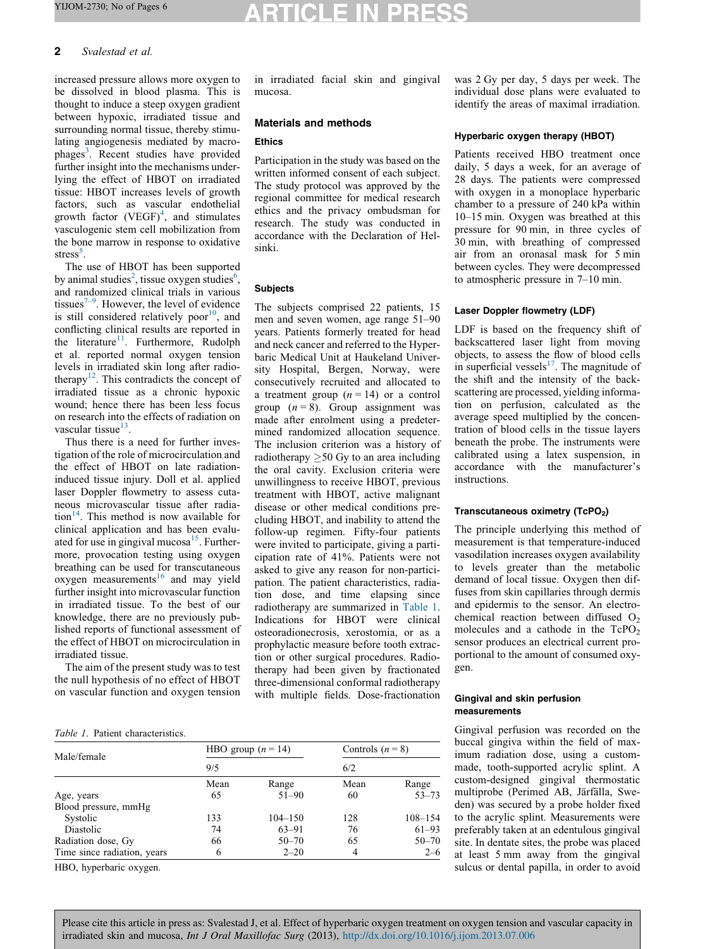## CLE IN

#### 2 Svalestad et al.

increased pressure allows more oxygen to be dissolved in blood plasma. This is thought to induce a steep oxygen gradient between hypoxic, irradiated tissue and surrounding normal tissue, thereby stimulating angiogenesis mediated by macro-phages<sup>[3](#page-4-0)</sup>. Recent studies have provided further insight into the mechanisms underlying the effect of HBOT on irradiated tissue: HBOT increases levels of growth factors, such as vascular endothelial growth factor  $(VEGF)^4$  $(VEGF)^4$ , and stimulates vasculogenic stem cell mobilization from the bone marrow in response to oxidative stress<sup>[5](#page-4-0)</sup>.

The use of HBOT has been supported by animal studies<sup>[2](#page-4-0)</sup>, tissue oxygen studies<sup>[6](#page-4-0)</sup>, and randomized clinical trials in various tissues<sup> $7-9$ </sup>. However, the level of evidence is still considered relatively poor<sup>[10](#page-5-0)</sup>, and conflicting clinical results are reported in the literature<sup>[11](#page-5-0)</sup>. Furthermore, Rudolph et al. reported normal oxygen tension levels in irradiated skin long after radio-therapy<sup>[12](#page-5-0)</sup>. This contradicts the concept of irradiated tissue as a chronic hypoxic wound; hence there has been less focus on research into the effects of radiation on vascular tissue<sup>[13](#page-5-0)</sup>.

Thus there is a need for further investigation of the role of microcirculation and the effect of HBOT on late radiationinduced tissue injury. Doll et al. applied laser Doppler flowmetry to assess cutaneous microvascular tissue after radiation<sup>14</sup>. This method is now available for clinical application and has been evaluated for use in gingival mucosa<sup>15</sup>. Furthermore, provocation testing using oxygen breathing can be used for transcutaneous  $oxygen$  measurements<sup>[16](#page-5-0)</sup> and may yield further insight into microvascular function in irradiated tissue. To the best of our knowledge, there are no previously published reports of functional assessment of the effect of HBOT on microcirculation in irradiated tissue.

The aim of the present study was to test the null hypothesis of no effect of HBOT on vascular function and oxygen tension in irradiated facial skin and gingival mucosa.

#### Materials and methods

#### **Ethics**

Participation in the study was based on the written informed consent of each subject. The study protocol was approved by the regional committee for medical research ethics and the privacy ombudsman for research. The study was conducted in accordance with the Declaration of Helsinki.

#### Subjects

The subjects comprised 22 patients, 15 men and seven women, age range 51–90 years. Patients formerly treated for head and neck cancer and referred to the Hyperbaric Medical Unit at Haukeland University Hospital, Bergen, Norway, were consecutively recruited and allocated to a treatment group  $(n = 14)$  or a control group  $(n = 8)$ . Group assignment was made after enrolment using a predetermined randomized allocation sequence. The inclusion criterion was a history of radiotherapy  $\geq$  50 Gy to an area including the oral cavity. Exclusion criteria were unwillingness to receive HBOT, previous treatment with HBOT, active malignant disease or other medical conditions precluding HBOT, and inability to attend the follow-up regimen. Fifty-four patients were invited to participate, giving a participation rate of 41%. Patients were not asked to give any reason for non-participation. The patient characteristics, radiation dose, and time elapsing since radiotherapy are summarized in Table 1. Indications for HBOT were clinical osteoradionecrosis, xerostomia, or as a prophylactic measure before tooth extraction or other surgical procedures. Radiotherapy had been given by fractionated three-dimensional conformal radiotherapy with multiple fields. Dose-fractionation

#### Table 1. Patient characteristics.

| Male/female                 | HBO group $(n = 14)$ |             | Controls $(n = 8)$ |             |
|-----------------------------|----------------------|-------------|--------------------|-------------|
|                             | 9/5                  |             | 6/2                |             |
|                             | Mean                 | Range       | Mean               | Range       |
| Age, years                  | 65                   | $51 - 90$   | 60                 | $53 - 73$   |
| Blood pressure, mmHg        |                      |             |                    |             |
| Systolic                    | 133                  | $104 - 150$ | 128                | $108 - 154$ |
| Diastolic                   | 74                   | $63 - 91$   | 76                 | $61 - 93$   |
| Radiation dose, Gy          | 66                   | $50 - 70$   | 65                 | $50 - 70$   |
| Time since radiation, years | 6                    | $2 - 20$    | 4                  | $2 - 6$     |

HBO, hyperbaric oxygen.

was 2 Gy per day, 5 days per week. The individual dose plans were evaluated to identify the areas of maximal irradiation.

#### Hyperbaric oxygen therapy (HBOT)

Patients received HBO treatment once daily, 5 days a week, for an average of 28 days. The patients were compressed with oxygen in a monoplace hyperbaric chamber to a pressure of 240 kPa within 10–15 min. Oxygen was breathed at this pressure for 90 min, in three cycles of 30 min, with breathing of compressed air from an oronasal mask for 5 min between cycles. They were decompressed to atmospheric pressure in 7–10 min.

#### Laser Doppler flowmetry (LDF)

LDF is based on the frequency shift of backscattered laser light from moving objects, to assess the flow of blood cells in superficial vessels $17$ . The magnitude of the shift and the intensity of the backscattering are processed, yielding information on perfusion, calculated as the average speed multiplied by the concentration of blood cells in the tissue layers beneath the probe. The instruments were calibrated using a latex suspension, in accordance with the manufacturer's instructions.

#### Transcutaneous oximetry (TcPO<sub>2</sub>)

The principle underlying this method of measurement is that temperature-induced vasodilation increases oxygen availability to levels greater than the metabolic demand of local tissue. Oxygen then diffuses from skin capillaries through dermis and epidermis to the sensor. An electrochemical reaction between diffused  $O<sub>2</sub>$ molecules and a cathode in the  $TePO<sub>2</sub>$ sensor produces an electrical current proportional to the amount of consumed oxygen.

#### Gingival and skin perfusion measurements

Gingival perfusion was recorded on the buccal gingiva within the field of maximum radiation dose, using a custommade, tooth-supported acrylic splint. A custom-designed gingival thermostatic multiprobe (Perimed AB, Järfälla, Sweden) was secured by a probe holder fixed to the acrylic splint. Measurements were preferably taken at an edentulous gingival site. In dentate sites, the probe was placed at least 5 mm away from the gingival sulcus or dental papilla, in order to avoid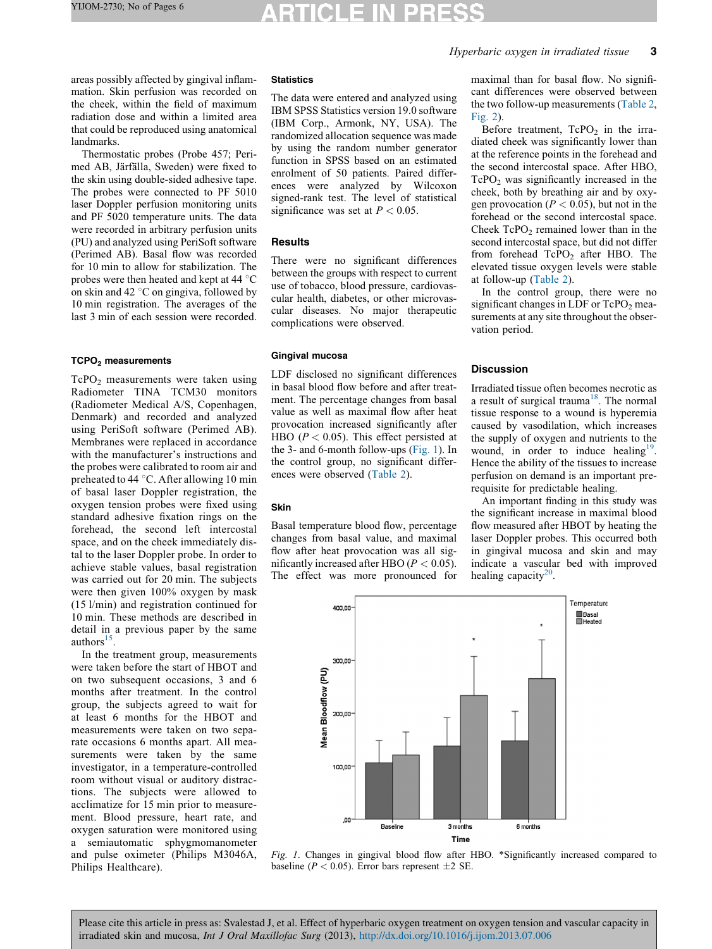areas possibly affected by gingival inflammation. Skin perfusion was recorded on the cheek, within the field of maximum radiation dose and within a limited area that could be reproduced using anatomical landmarks.

Thermostatic probes (Probe 457; Perimed AB, Järfälla, Sweden) were fixed to the skin using double-sided adhesive tape. The probes were connected to PF 5010 laser Doppler perfusion monitoring units and PF 5020 temperature units. The data were recorded in arbitrary perfusion units (PU) and analyzed using PeriSoft software (Perimed AB). Basal flow was recorded for 10 min to allow for stabilization. The probes were then heated and kept at  $44 \degree C$ on skin and 42 $\degree$ C on gingiva, followed by 10 min registration. The averages of the last 3 min of each session were recorded.

#### TCPO<sub>2</sub> measurements

TcPO2 measurements were taken using Radiometer TINA TCM30 monitors (Radiometer Medical A/S, Copenhagen, Denmark) and recorded and analyzed using PeriSoft software (Perimed AB). Membranes were replaced in accordance with the manufacturer's instructions and the probes were calibrated to room air and preheated to 44  $\degree$ C. After allowing 10 min of basal laser Doppler registration, the oxygen tension probes were fixed using standard adhesive fixation rings on the forehead, the second left intercostal space, and on the cheek immediately distal to the laser Doppler probe. In order to achieve stable values, basal registration was carried out for 20 min. The subjects were then given 100% oxygen by mask (15 l/min) and registration continued for 10 min. These methods are described in detail in a previous paper by the same  $authors<sup>15</sup>$ .

In the treatment group, measurements were taken before the start of HBOT and on two subsequent occasions, 3 and 6 months after treatment. In the control group, the subjects agreed to wait for at least 6 months for the HBOT and measurements were taken on two separate occasions 6 months apart. All measurements were taken by the same investigator, in a temperature-controlled room without visual or auditory distractions. The subjects were allowed to acclimatize for 15 min prior to measurement. Blood pressure, heart rate, and oxygen saturation were monitored using a semiautomatic sphygmomanometer and pulse oximeter (Philips M3046A, Philips Healthcare).

#### **Statistics**

The data were entered and analyzed using IBM SPSS Statistics version 19.0 software (IBM Corp., Armonk, NY, USA). The randomized allocation sequence was made by using the random number generator function in SPSS based on an estimated enrolment of 50 patients. Paired differences were analyzed by Wilcoxon signed-rank test. The level of statistical significance was set at  $P < 0.05$ .

#### **Results**

There were no significant differences between the groups with respect to current use of tobacco, blood pressure, cardiovascular health, diabetes, or other microvascular diseases. No major therapeutic complications were observed.

#### Gingival mucosa

LDF disclosed no significant differences in basal blood flow before and after treatment. The percentage changes from basal value as well as maximal flow after heat provocation increased significantly after HBO ( $P < 0.05$ ). This effect persisted at the 3- and 6-month follow-ups (Fig. 1). In the control group, no significant differences were observed ([Table](#page-3-0) 2).

#### Skin

Basal temperature blood flow, percentage changes from basal value, and maximal flow after heat provocation was all significantly increased after HBO ( $P < 0.05$ ). The effect was more pronounced for

maximal than for basal flow. No significant differences were observed between the two follow-up measurements ([Table](#page-3-0) 2, [Fig.](#page-3-0) 2).

Before treatment,  $TePO<sub>2</sub>$  in the irradiated cheek was significantly lower than at the reference points in the forehead and the second intercostal space. After HBO,  $TePO<sub>2</sub>$  was significantly increased in the cheek, both by breathing air and by oxygen provocation ( $P < 0.05$ ), but not in the forehead or the second intercostal space. Cheek  $TePO<sub>2</sub>$  remained lower than in the second intercostal space, but did not differ from forehead  $TePO<sub>2</sub>$  after HBO. The elevated tissue oxygen levels were stable at follow-up ([Table](#page-3-0) 2).

In the control group, there were no significant changes in LDF or  $TePO<sub>2</sub>$  measurements at any site throughout the observation period.

#### **Discussion**

Irradiated tissue often becomes necrotic as a result of surgical trauma<sup>18</sup>. The normal tissue response to a wound is hyperemia caused by vasodilation, which increases the supply of oxygen and nutrients to the wound, in order to induce healing<sup>19</sup>. Hence the ability of the tissues to increase perfusion on demand is an important prerequisite for predictable healing.

An important finding in this study was the significant increase in maximal blood flow measured after HBOT by heating the laser Doppler probes. This occurred both in gingival mucosa and skin and may indicate a vascular bed with improved healing capacity $20$ .



Fig. 1. Changes in gingival blood flow after HBO. \*Significantly increased compared to baseline ( $P < 0.05$ ). Error bars represent  $\pm 2$  SE.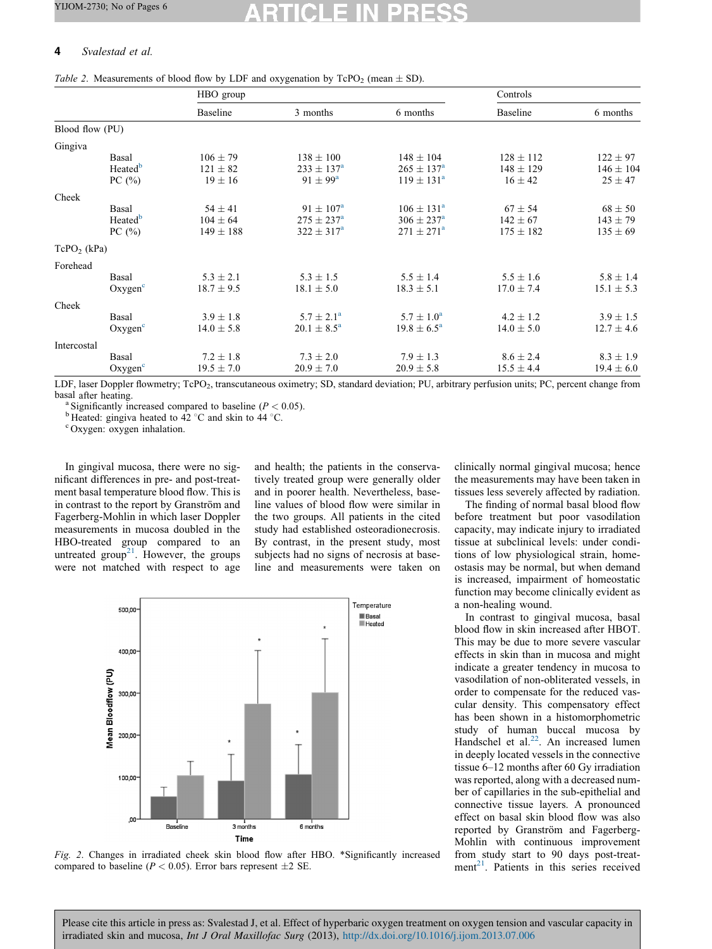## <span id="page-3-0"></span>4 Svalestad et al.

|                 |                                            | HBO group                                    |                                                                  |                                                             | Controls                                      |                                              |
|-----------------|--------------------------------------------|----------------------------------------------|------------------------------------------------------------------|-------------------------------------------------------------|-----------------------------------------------|----------------------------------------------|
|                 |                                            | Baseline                                     | 3 months                                                         | 6 months                                                    | Baseline                                      | 6 months                                     |
| Blood flow (PU) |                                            |                                              |                                                                  |                                                             |                                               |                                              |
| Gingiva         |                                            |                                              |                                                                  |                                                             |                                               |                                              |
|                 | Basal<br>Heated <sup>b</sup><br>PC $(\% )$ | $106 \pm 79$<br>$121 \pm 82$<br>$19 \pm 16$  | $138 \pm 100$<br>$233 \pm 137^{\rm a}$<br>$91 \pm 99^{\rm a}$    | $148 \pm 104$<br>$265 \pm 137^{\rm a}$<br>$119 \pm 131^a$   | $128 \pm 112$<br>$148 \pm 129$<br>$16 \pm 42$ | $122 \pm 97$<br>$146 \pm 104$<br>$25 \pm 47$ |
| Cheek           |                                            |                                              |                                                                  |                                                             |                                               |                                              |
|                 | Basal<br>Heated <sup>b</sup><br>PC $(\% )$ | $54 \pm 41$<br>$104 \pm 64$<br>$149 \pm 188$ | $91 \pm 107^{\rm a}$<br>$275 \pm 237^{\rm a}$<br>$322 \pm 317^a$ | $106 \pm 131^a$<br>$306 \pm 237^{\rm a}$<br>$271 \pm 271^a$ | $67 \pm 54$<br>$142 \pm 67$<br>$175 \pm 182$  | $68 \pm 50$<br>$143 \pm 79$<br>$135 \pm 69$  |
| $TePO2$ (kPa)   |                                            |                                              |                                                                  |                                                             |                                               |                                              |
| Forehead        |                                            |                                              |                                                                  |                                                             |                                               |                                              |
|                 | Basal<br>Oxygen <sup>c</sup>               | $5.3 \pm 2.1$<br>$18.7 \pm 9.5$              | $5.3 \pm 1.5$<br>$18.1 \pm 5.0$                                  | $5.5 \pm 1.4$<br>$18.3 \pm 5.1$                             | $5.5 \pm 1.6$<br>$17.0 \pm 7.4$               | $5.8 \pm 1.4$<br>$15.1 \pm 5.3$              |
| Cheek           |                                            |                                              |                                                                  |                                                             |                                               |                                              |
|                 | Basal<br>Oxygen <sup>c</sup>               | $3.9 \pm 1.8$<br>$14.0 \pm 5.8$              | $5.7 \pm 2.1^a$<br>$20.1 \pm 8.5^a$                              | $5.7 \pm 1.0^a$<br>$19.8 \pm 6.5^{\circ}$                   | $4.2 \pm 1.2$<br>$14.0 \pm 5.0$               | $3.9 \pm 1.5$<br>$12.7 \pm 4.6$              |
| Intercostal     |                                            |                                              |                                                                  |                                                             |                                               |                                              |
|                 | Basal<br>Oxygen <sup>c</sup>               | $7.2 \pm 1.8$<br>$19.5 \pm 7.0$              | $7.3 \pm 2.0$<br>$20.9 \pm 7.0$                                  | $7.9 \pm 1.3$<br>$20.9 \pm 5.8$                             | $8.6 \pm 2.4$<br>$15.5 \pm 4.4$               | $8.3 \pm 1.9$<br>$19.4 \pm 6.0$              |

Table 2. Measurements of blood flow by LDF and oxygenation by  $TePO<sub>2</sub>$  (mean  $\pm$  SD).

LDF, laser Doppler flowmetry; TcPO<sub>2</sub>, transcutaneous oximetry; SD, standard deviation; PU, arbitrary perfusion units; PC, percent change from basal after heating.<br><sup>a</sup> Significantly increased compared to baseline ( $P < 0.05$ ).

 $<sup>b</sup>$  Heated: gingiva heated to 42 °C and skin to 44 °C.</sup>

Oxygen: oxygen inhalation.

In gingival mucosa, there were no significant differences in pre- and post-treatment basal temperature blood flow. This is in contrast to the report by Granström and Fagerberg-Mohlin in which laser Doppler measurements in mucosa doubled in the HBO-treated group compared to an untreated group<sup>21</sup>. However, the groups were not matched with respect to age

and health; the patients in the conservatively treated group were generally older and in poorer health. Nevertheless, baseline values of blood flow were similar in the two groups. All patients in the cited study had established osteoradionecrosis. By contrast, in the present study, most subjects had no signs of necrosis at baseline and measurements were taken on



Fig. 2. Changes in irradiated cheek skin blood flow after HBO. \*Significantly increased compared to baseline ( $P < 0.05$ ). Error bars represent  $\pm 2$  SE.

clinically normal gingival mucosa; hence the measurements may have been taken in tissues less severely affected by radiation.

The finding of normal basal blood flow before treatment but poor vasodilation capacity, may indicate injury to irradiated tissue at subclinical levels: under conditions of low physiological strain, homeostasis may be normal, but when demand is increased, impairment of homeostatic function may become clinically evident as a non-healing wound.

In contrast to gingival mucosa, basal blood flow in skin increased after HBOT. This may be due to more severe vascular effects in skin than in mucosa and might indicate a greater tendency in mucosa to vasodilation of non-obliterated vessels, in order to compensate for the reduced vascular density. This compensatory effect has been shown in a histomorphometric study of human buccal mucosa by Handschel et al.<sup>22</sup>. An increased lumen in deeply located vessels in the connective tissue 6–12 months after 60 Gy irradiation was reported, along with a decreased number of capillaries in the sub-epithelial and connective tissue layers. A pronounced effect on basal skin blood flow was also reported by Granström and Fagerberg-Mohlin with continuous improvement from study start to 90 days post-treatment $^{21}$ . Patients in this series received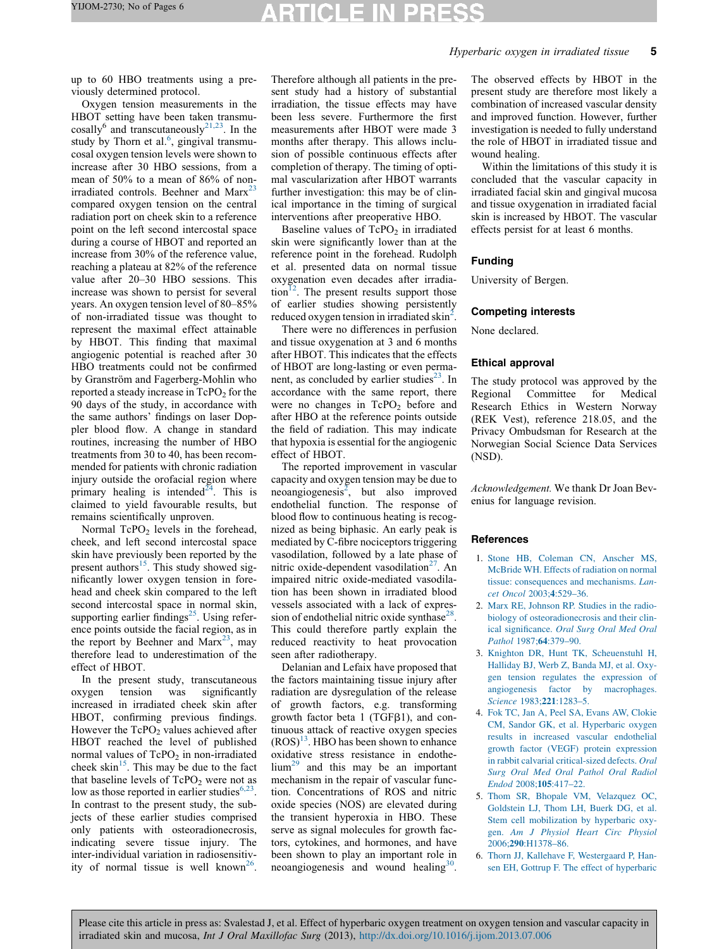# TICLE IN

## Hyperbaric oxygen in irradiated tissue 5

<span id="page-4-0"></span>up to 60 HBO treatments using a previously determined protocol.

Oxygen tension measurements in the HBOT setting have been taken transmu- $\cos{\left( \frac{\pi}{2} \right)}$  and transcutaneously<sup>21,23</sup>. In the study by Thorn et al.<sup>6</sup>, gingival transmucosal oxygen tension levels were shown to increase after 30 HBO sessions, from a mean of 50% to a mean of 86% of non-irradiated controls. Beehner and Marx<sup>[23](#page-5-0)</sup> compared oxygen tension on the central radiation port on cheek skin to a reference point on the left second intercostal space during a course of HBOT and reported an increase from 30% of the reference value, reaching a plateau at 82% of the reference value after 20–30 HBO sessions. This increase was shown to persist for several years. An oxygen tension level of 80–85% of non-irradiated tissue was thought to represent the maximal effect attainable by HBOT. This finding that maximal angiogenic potential is reached after 30 HBO treatments could not be confirmed by Granström and Fagerberg-Mohlin who reported a steady increase in  $TePO<sub>2</sub>$  for the 90 days of the study, in accordance with the same authors' findings on laser Doppler blood flow. A change in standard routines, increasing the number of HBO treatments from 30 to 40, has been recommended for patients with chronic radiation injury outside the orofacial region where primary healing is intended<sup>[24](#page-5-0)</sup>. This is claimed to yield favourable results, but remains scientifically unproven.

Normal  $TePO<sub>2</sub>$  levels in the forehead, cheek, and left second intercostal space skin have previously been reported by the present authors $^{15}$  $^{15}$  $^{15}$ . This study showed significantly lower oxygen tension in forehead and cheek skin compared to the left second intercostal space in normal skin, supporting earlier findings<sup>25</sup>. Using reference points outside the facial region, as in the report by Beehner and Marx<sup>23</sup>, may therefore lead to underestimation of the effect of HBOT.

In the present study, transcutaneous oxygen tension was significantly increased in irradiated cheek skin after HBOT, confirming previous findings. However the  $TePO<sub>2</sub>$  values achieved after HBOT reached the level of published normal values of  $TePO<sub>2</sub>$  in non-irradiated cheek skin<sup>[15](#page-5-0)</sup>. This may be due to the fact that baseline levels of  $TePO<sub>2</sub>$  were not as low as those reported in earlier studies $6,23$ . In contrast to the present study, the subjects of these earlier studies comprised only patients with osteoradionecrosis, indicating severe tissue injury. The inter-individual variation in radiosensitivity of normal tissue is well known<sup>26</sup>

Therefore although all patients in the present study had a history of substantial irradiation, the tissue effects may have been less severe. Furthermore the first measurements after HBOT were made 3 months after therapy. This allows inclusion of possible continuous effects after completion of therapy. The timing of optimal vascularization after HBOT warrants further investigation: this may be of clinical importance in the timing of surgical interventions after preoperative HBO.

Baseline values of  $TePO<sub>2</sub>$  in irradiated skin were significantly lower than at the reference point in the forehead. Rudolph et al. presented data on normal tissue oxygenation even decades after irradiation $^{12}$  $^{12}$  $^{12}$ . The present results support those of earlier studies showing persistently reduced oxygen tension in irradiated skin<sup>2</sup>.

There were no differences in perfusion and tissue oxygenation at 3 and 6 months after HBOT. This indicates that the effects of HBOT are long-lasting or even permanent, as concluded by earlier studies<sup>23</sup>. In accordance with the same report, there were no changes in  $TePO<sub>2</sub>$  before and after HBO at the reference points outside the field of radiation. This may indicate that hypoxia is essential for the angiogenic effect of HBOT.

The reported improvement in vascular capacity and oxygen tension may be due to  $n$ eoangiogenesis<sup>2</sup>, but also improved endothelial function. The response of blood flow to continuous heating is recognized as being biphasic. An early peak is mediated by C-fibre nociceptors triggering vasodilation, followed by a late phase of nitric oxide-dependent vasodilation $27$ . An impaired nitric oxide-mediated vasodilation has been shown in irradiated blood vessels associated with a lack of expression of endothelial nitric oxide synthase $^{28}$  $^{28}$  $^{28}$ . This could therefore partly explain the reduced reactivity to heat provocation seen after radiotherapy.

Delanian and Lefaix have proposed that the factors maintaining tissue injury after radiation are dysregulation of the release of growth factors, e.g. transforming growth factor beta 1 ( $TGF\beta1$ ), and continuous attack of reactive oxygen species  $(ROS)^{13}$ . HBO has been shown to enhance oxidative stress resistance in endothe- $\lim^{29}$  $\lim^{29}$  $\lim^{29}$  and this may be an important mechanism in the repair of vascular function. Concentrations of ROS and nitric oxide species (NOS) are elevated during the transient hyperoxia in HBO. These serve as signal molecules for growth factors, cytokines, and hormones, and have been shown to play an important role in neoangiogenesis and wound healing $30$ .

The observed effects by HBOT in the present study are therefore most likely a combination of increased vascular density and improved function. However, further investigation is needed to fully understand the role of HBOT in irradiated tissue and wound healing.

Within the limitations of this study it is concluded that the vascular capacity in irradiated facial skin and gingival mucosa and tissue oxygenation in irradiated facial skin is increased by HBOT. The vascular effects persist for at least 6 months.

#### Funding

University of Bergen.

#### Competing interests

None declared.

#### Ethical approval

The study protocol was approved by the Regional Committee for Medical Research Ethics in Western Norway (REK Vest), reference 218.05, and the Privacy Ombudsman for Research at the Norwegian Social Science Data Services (NSD).

Acknowledgement. We thank Dr Joan Bevenius for language revision.

#### References

- 1. Stone HB, [Coleman](http://refhub.elsevier.com/S0901-5027(13)00299-3/sbref0005) CN, Anscher MS, [McBride](http://refhub.elsevier.com/S0901-5027(13)00299-3/sbref0005) WH. Effects of radiation on normal tissue: [consequences](http://refhub.elsevier.com/S0901-5027(13)00299-3/sbref0005) and mechanisms. Lancet Oncol 2003;4[:529–36.](http://refhub.elsevier.com/S0901-5027(13)00299-3/sbref0005)
- 2. Marx RE, [Johnson](http://refhub.elsevier.com/S0901-5027(13)00299-3/sbref0010) RP. Studies in the radiobiology of [osteoradionecrosis](http://refhub.elsevier.com/S0901-5027(13)00299-3/sbref0010) and their clinical [significance.](http://refhub.elsevier.com/S0901-5027(13)00299-3/sbref0010) Oral Surg Oral Med Oral Pathol 1987;64[:379–90.](http://refhub.elsevier.com/S0901-5027(13)00299-3/sbref0010)
- 3. Knighton DR, Hunt TK, [Scheuenstuhl](http://refhub.elsevier.com/S0901-5027(13)00299-3/sbref0015) H, [Halliday](http://refhub.elsevier.com/S0901-5027(13)00299-3/sbref0015) BJ, Werb Z, Banda MJ, et al. Oxygen tension regulates the [expression](http://refhub.elsevier.com/S0901-5027(13)00299-3/sbref0015) of angiogenesis factor by [macrophages.](http://refhub.elsevier.com/S0901-5027(13)00299-3/sbref0015) Science 1983;221[:1283–5.](http://refhub.elsevier.com/S0901-5027(13)00299-3/sbref0015)
- 4. Fok TC, Jan A, Peel SA, Evans AW, [Clokie](http://refhub.elsevier.com/S0901-5027(13)00299-3/sbref0020) CM, Sandor GK, et al. [Hyperbaric](http://refhub.elsevier.com/S0901-5027(13)00299-3/sbref0020) oxygen results in increased vascular [endothelial](http://refhub.elsevier.com/S0901-5027(13)00299-3/sbref0020) growth factor (VEGF) protein [expression](http://refhub.elsevier.com/S0901-5027(13)00299-3/sbref0020) in rabbit calvarial [critical-sized](http://refhub.elsevier.com/S0901-5027(13)00299-3/sbref0020) defects. Oral Surg Oral Med Oral [Pathol](http://refhub.elsevier.com/S0901-5027(13)00299-3/sbref0020) Oral Radiol Endod 2008;105[:417–22.](http://refhub.elsevier.com/S0901-5027(13)00299-3/sbref0020)
- 5. Thom SR, Bhopale VM, [Velazquez](http://refhub.elsevier.com/S0901-5027(13)00299-3/sbref0025) OC, [Goldstein](http://refhub.elsevier.com/S0901-5027(13)00299-3/sbref0025) LJ, Thom LH, Buerk DG, et al. Stem cell [mobilization](http://refhub.elsevier.com/S0901-5027(13)00299-3/sbref0025) by hyperbaric oxygen. Am J [Physiol](http://refhub.elsevier.com/S0901-5027(13)00299-3/sbref0025) Heart Circ Physiol 2006;290[:H1378–86.](http://refhub.elsevier.com/S0901-5027(13)00299-3/sbref0025)
- 6. Thorn JJ, Kallehave F, [Westergaard](http://refhub.elsevier.com/S0901-5027(13)00299-3/sbref0030) P, Hansen EH, Gottrup F. The effect of [hyperbaric](http://refhub.elsevier.com/S0901-5027(13)00299-3/sbref0030)